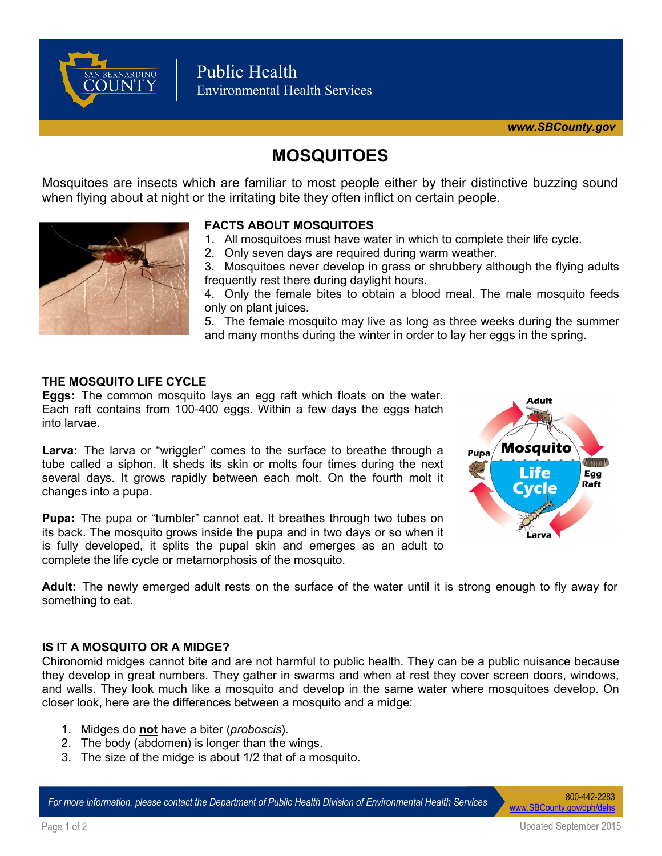

# **MOSQUITOES**

Mosquitoes are insects which are familiar to most people either by their distinctive buzzing sound when flying about at night or the irritating bite they often inflict on certain people.



### **FACTS ABOUT MOSQUITOES**

- 1. All mosquitoes must have water in which to complete their life cycle.
- 2. Only seven days are required during warm weather.

3. Mosquitoes never develop in grass or shrubbery although the flying adults frequently rest there during daylight hours.

4. Only the female bites to obtain a blood meal. The male mosquito feeds only on plant juices.

5. The female mosquito may live as long as three weeks during the summer and many months during the winter in order to lay her eggs in the spring.

#### **THE MOSQUITO LIFE CYCLE**

**Eggs:** The common mosquito lays an egg raft which floats on the water. Each raft contains from 100-400 eggs. Within a few days the eggs hatch into larvae.

Larva: The larva or "wriggler" comes to the surface to breathe through a tube called a siphon. It sheds its skin or molts four times during the next several days. It grows rapidly between each molt. On the fourth molt it changes into a pupa.

**Pupa:** The pupa or "tumbler" cannot eat. It breathes through two tubes on its back. The mosquito grows inside the pupa and in two days or so when it is fully developed, it splits the pupal skin and emerges as an adult to complete the life cycle or metamorphosis of the mosquito.



**Adult:** The newly emerged adult rests on the surface of the water until it is strong enough to fly away for something to eat.

#### **IS IT A MOSQUITO OR A MIDGE?**

Chironomid midges cannot bite and are not harmful to public health. They can be a public nuisance because they develop in great numbers. They gather in swarms and when at rest they cover screen doors, windows, and walls. They look much like a mosquito and develop in the same water where mosquitoes develop. On closer look, here are the differences between a mosquito and a midge:

- 1. Midges do **not** have a biter (*proboscis*).
- 2. The body (abdomen) is longer than the wings.
- 3. The size of the midge is about 1/2 that of a mosquito.

*For more information, please contact the Department of Public Health Division of Environmental Health Services* 800-442-2283

[www.SBCounty.gov/dph/dehs](http://www.SBCounty.gov/dph/dehs)